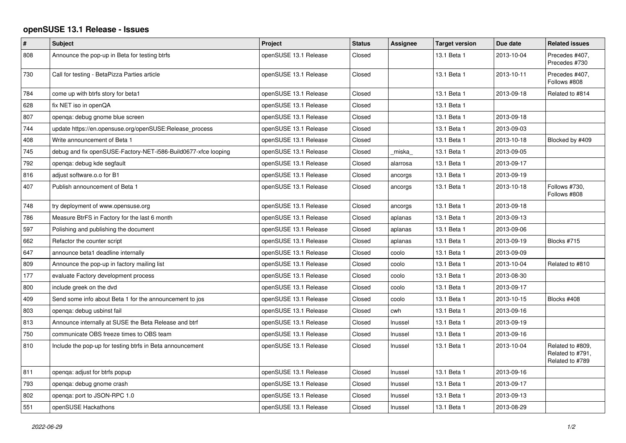## **openSUSE 13.1 Release - Issues**

| $\sharp$ | <b>Subject</b>                                                 | Project               | <b>Status</b> | Assignee | <b>Target version</b> | Due date   | <b>Related issues</b>                                   |
|----------|----------------------------------------------------------------|-----------------------|---------------|----------|-----------------------|------------|---------------------------------------------------------|
| 808      | Announce the pop-up in Beta for testing btrfs                  | openSUSE 13.1 Release | Closed        |          | 13.1 Beta 1           | 2013-10-04 | Precedes #407,<br>Precedes #730                         |
| 730      | Call for testing - BetaPizza Parties article                   | openSUSE 13.1 Release | Closed        |          | 13.1 Beta 1           | 2013-10-11 | Precedes #407,<br>Follows #808                          |
| 784      | come up with btrfs story for beta1                             | openSUSE 13.1 Release | Closed        |          | 13.1 Beta 1           | 2013-09-18 | Related to #814                                         |
| 628      | fix NET iso in openQA                                          | openSUSE 13.1 Release | Closed        |          | 13.1 Beta 1           |            |                                                         |
| 807      | openqa: debug gnome blue screen                                | openSUSE 13.1 Release | Closed        |          | 13.1 Beta 1           | 2013-09-18 |                                                         |
| 744      | update https://en.opensuse.org/openSUSE:Release_process        | openSUSE 13.1 Release | Closed        |          | 13.1 Beta 1           | 2013-09-03 |                                                         |
| 408      | Write announcement of Beta 1                                   | openSUSE 13.1 Release | Closed        |          | 13.1 Beta 1           | 2013-10-18 | Blocked by #409                                         |
| 745      | debug and fix openSUSE-Factory-NET-i586-Build0677-xfce looping | openSUSE 13.1 Release | Closed        | miska    | 13.1 Beta 1           | 2013-09-05 |                                                         |
| 792      | openga: debug kde segfault                                     | openSUSE 13.1 Release | Closed        | alarrosa | 13.1 Beta 1           | 2013-09-17 |                                                         |
| 816      | adjust software.o.o for B1                                     | openSUSE 13.1 Release | Closed        | ancorgs  | 13.1 Beta 1           | 2013-09-19 |                                                         |
| 407      | Publish announcement of Beta 1                                 | openSUSE 13.1 Release | Closed        | ancorgs  | 13.1 Beta 1           | 2013-10-18 | Follows #730.<br>Follows #808                           |
| 748      | try deployment of www.opensuse.org                             | openSUSE 13.1 Release | Closed        | ancorgs  | 13.1 Beta 1           | 2013-09-18 |                                                         |
| 786      | Measure BtrFS in Factory for the last 6 month                  | openSUSE 13.1 Release | Closed        | aplanas  | 13.1 Beta 1           | 2013-09-13 |                                                         |
| 597      | Polishing and publishing the document                          | openSUSE 13.1 Release | Closed        | aplanas  | 13.1 Beta 1           | 2013-09-06 |                                                         |
| 662      | Refactor the counter script                                    | openSUSE 13.1 Release | Closed        | aplanas  | 13.1 Beta 1           | 2013-09-19 | Blocks #715                                             |
| 647      | announce beta1 deadline internally                             | openSUSE 13.1 Release | Closed        | coolo    | 13.1 Beta 1           | 2013-09-09 |                                                         |
| 809      | Announce the pop-up in factory mailing list                    | openSUSE 13.1 Release | Closed        | coolo    | 13.1 Beta 1           | 2013-10-04 | Related to #810                                         |
| 177      | evaluate Factory development process                           | openSUSE 13.1 Release | Closed        | coolo    | 13.1 Beta 1           | 2013-08-30 |                                                         |
| 800      | include greek on the dvd                                       | openSUSE 13.1 Release | Closed        | coolo    | 13.1 Beta 1           | 2013-09-17 |                                                         |
| 409      | Send some info about Beta 1 for the announcement to jos        | openSUSE 13.1 Release | Closed        | coolo    | 13.1 Beta 1           | 2013-10-15 | Blocks #408                                             |
| 803      | openqa: debug usbinst fail                                     | openSUSE 13.1 Release | Closed        | cwh      | 13.1 Beta 1           | 2013-09-16 |                                                         |
| 813      | Announce internally at SUSE the Beta Release and btrf          | openSUSE 13.1 Release | Closed        | Inussel  | 13.1 Beta 1           | 2013-09-19 |                                                         |
| 750      | communicate OBS freeze times to OBS team                       | openSUSE 13.1 Release | Closed        | Inussel  | 13.1 Beta 1           | 2013-09-16 |                                                         |
| 810      | Include the pop-up for testing btrfs in Beta announcement      | openSUSE 13.1 Release | Closed        | Inussel  | 13.1 Beta 1           | 2013-10-04 | Related to #809,<br>Related to #791,<br>Related to #789 |
| 811      | openqa: adjust for btrfs popup                                 | openSUSE 13.1 Release | Closed        | Inussel  | 13.1 Beta 1           | 2013-09-16 |                                                         |
| 793      | openqa: debug gnome crash                                      | openSUSE 13.1 Release | Closed        | Inussel  | 13.1 Beta 1           | 2013-09-17 |                                                         |
| 802      | openga: port to JSON-RPC 1.0                                   | openSUSE 13.1 Release | Closed        | Inussel  | 13.1 Beta 1           | 2013-09-13 |                                                         |
| 551      | openSUSE Hackathons                                            | openSUSE 13.1 Release | Closed        | Inussel  | 13.1 Beta 1           | 2013-08-29 |                                                         |